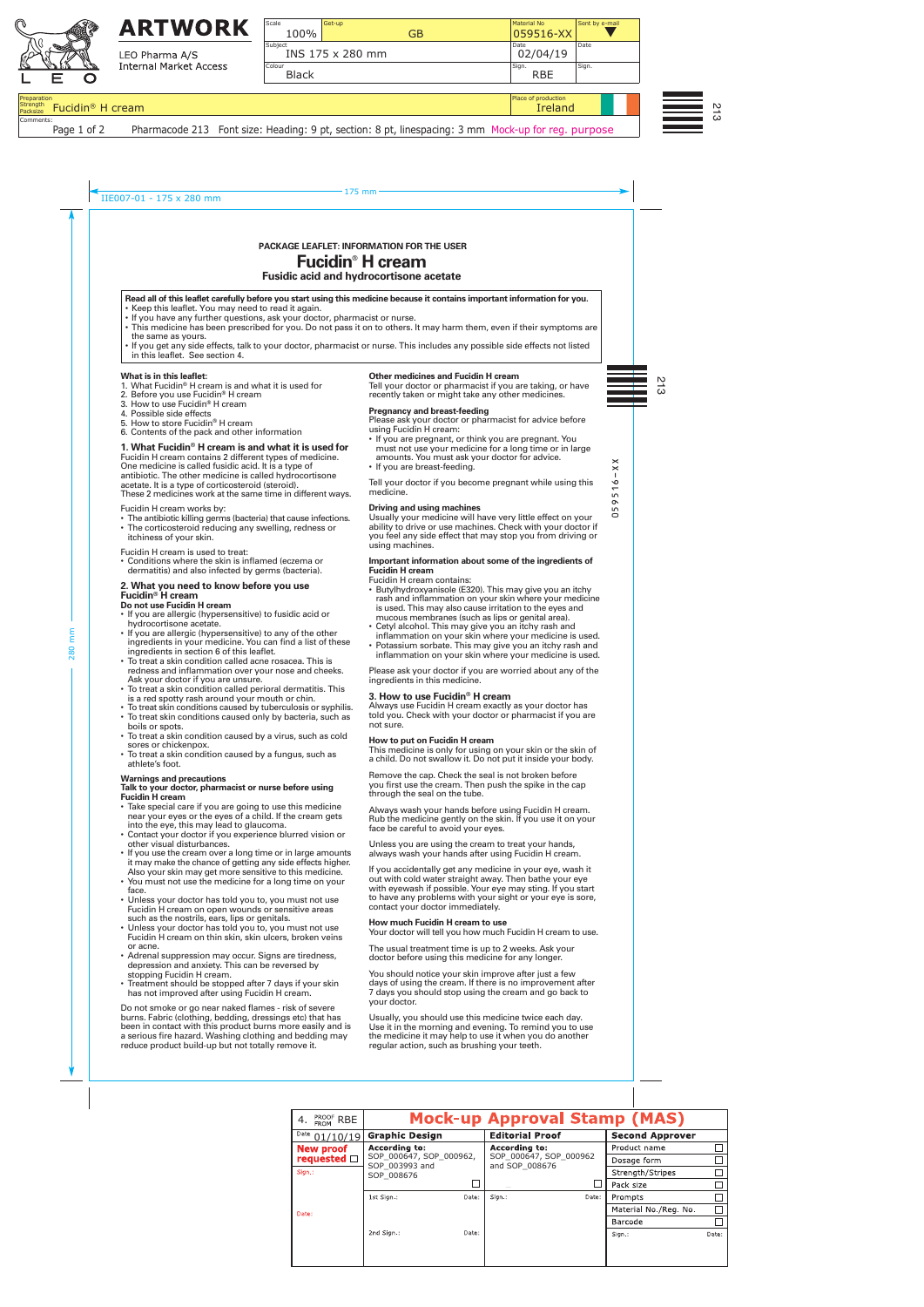# **PACKAGE LEAFLET: INFORMATION FOR THE USER**

# **Fucidin**®  **H cream**

## **Fusidic acid and hydrocortisone acetate**

#### **Read all of this leaflet carefully before you start using this medicine because it contains important information for you.**  • Keep this leaflet. You may need to read it again.

- If you have any further questions, ask your doctor, pharmacist or nurse.
- This medicine has been prescribed for you. Do not pass it on to others. It may harm them, even if their symptoms are the same as yours.
- If you get any side effects, talk to your doctor, pharmacist or nurse. This includes any possible side effects not listed in this leaflet. See section 4.

#### **What is in this leaflet:**

- 1. What Fucidin® H cream is and what it is used for
- 2. Before you use Fucidin® H cream
- 3. How to use Fucidin® H cream
- 4. Possible side effects
- 5. How to store Fucidin® H cream 6. Contents of the pack and other information

# **1. What Fucidin**® **H cream is and what it is used for**

Fucidin H cream contains 2 different types of medicine. One medicine is called fusidic acid. It is a type of antibiotic. The other medicine is called hydrocortisone acetate. It is a type of corticosteroid (steroid). These 2 medicines work at the same time in different ways.

Fucidin H cream works by:

- The antibiotic killing germs (bacteria) that cause infections.
- The corticosteroid reducing any swelling, redness or itchiness of your skin.

#### Fucidin H cream is used to treat:

• Conditions where the skin is inflamed (eczema or dermatitis) and also infected by germs (bacteria).

## **2. What you need to know before you use Fucidin**® **H cream**

## **Do not use Fucidin H cream**

- If you are allergic (hypersensitive) to fusidic acid or hydrocortisone acetate.
- If you are allergic (hypersensitive) to any of the other ingredients in your medicine. You can find a list of these ingredients in section 6 of this leaflet.
- To treat a skin condition called acne rosacea. This is redness and inflammation over your nose and cheeks. Ask your doctor if you are unsure.
- To treat a skin condition called perioral dermatitis. This is a red spotty rash around your mouth or chin.
- To treat skin conditions caused by tuberculosis or syphilis. • To treat skin conditions caused only by bacteria, such as
- boils or spots.
- To treat a skin condition caused by a virus, such as cold sores or chickenpox.
- To treat a skin condition caused by a fungus, such as athlete's foot.

#### **Warnings and precautions**

#### **Talk to your doctor, pharmacist or nurse before using Fucidin H cream**

- Take special care if you are going to use this medicine near your eyes or the eyes of a child. If the cream gets into the eye, this may lead to glaucoma.
- Contact your doctor if you experience blurred vision or other visual disturbances.
- If you use the cream over a long time or in large amounts it may make the chance of getting any side effects higher. Also your skin may get more sensitive to this medicine.
- You must not use the medicine for a long time on your face.
- Unless your doctor has told you to, you must not use Fucidin H cream on open wounds or sensitive areas such as the nostrils, ears, lips or genitals.
- Unless your doctor has told you to, you must not use Fucidin H cream on thin skin, skin ulcers, broken veins or acne.
- Adrenal suppression may occur. Signs are tiredness, depression and anxiety. This can be reversed by stopping Fucidin H cream.
- Treatment should be stopped after 7 days if your skin has not improved after using Fucidin H cream.

Do not smoke or go near naked flames - risk of severe burns. Fabric (clothing, bedding, dressings etc) that has been in contact with this product burns more easily and is a serious fire hazard. Washing clothing and bedding may reduce product build-up but not totally remove it.

### **Other medicines and Fucidin H cream**

Tell your doctor or pharmacist if you are taking, or have recently taken or might take any other medicines.

### **Pregnancy and breast-feeding**

Please ask your doctor or pharmacist for advice before using Fucidin H cream:

- If you are pregnant, or think you are pregnant. You must not use your medicine for a long time or in large amounts. You must ask your doctor for advice.
- If you are breast-feeding.

Tell your doctor if you become pregnant while using this medicine.

#### **Driving and using machines**

Usually your medicine will have very little effect on your ability to drive or use machines. Check with your doctor if you feel any side effect that may stop you from driving or using machines.

#### **Important information about some of the ingredients of Fucidin H cream**

- Fucidin H cream contains:
- Butylhydroxyanisole (E320). This may give you an itchy rash and inflammation on your skin where your medicine is used. This may also cause irritation to the eyes and mucous membranes (such as lips or genital area).
- Cetyl alcohol. This may give you an itchy rash and inflammation on your skin where your medicine is used.
- Potassium sorbate. This may give you an itchy rash and inflammation on your skin where your medicine is used.

Please ask your doctor if you are worried about any of the ingredients in this medicine.

### **3. How to use Fucidin**® **H cream**

Always use Fucidin H cream exactly as your doctor has told you. Check with your doctor or pharmacist if you are not sure.

### **How to put on Fucidin H cream**

This medicine is only for using on your skin or the skin of a child. Do not swallow it. Do not put it inside your body.

Remove the cap. Check the seal is not broken before you first use the cream. Then push the spike in the cap through the seal on the tube.

Always wash your hands before using Fucidin H cream. Rub the medicine gently on the skin. If you use it on your face be careful to avoid your eyes.

Unless you are using the cream to treat your hands, always wash your hands after using Fucidin H cream.

If you accidentally get any medicine in your eye, wash it out with cold water straight away. Then bathe your eye with eyewash if possible. Your eye may sting. If you start to have any problems with your sight or your eye is sore, contact your doctor immediately.

### **How much Fucidin H cream to use**

Your doctor will tell you how much Fucidin H cream to use.

The usual treatment time is up to 2 weeks. Ask your doctor before using this medicine for any longer.

You should notice your skin improve after just a few days of using the cream. If there is no improvement after 7 days you should stop using the cream and go back to your doctor.

Usually, you should use this medicine twice each day. Use it in the morning and evening. To remind you to use the medicine it may help to use it when you do another regular action, such as brushing your teeth.